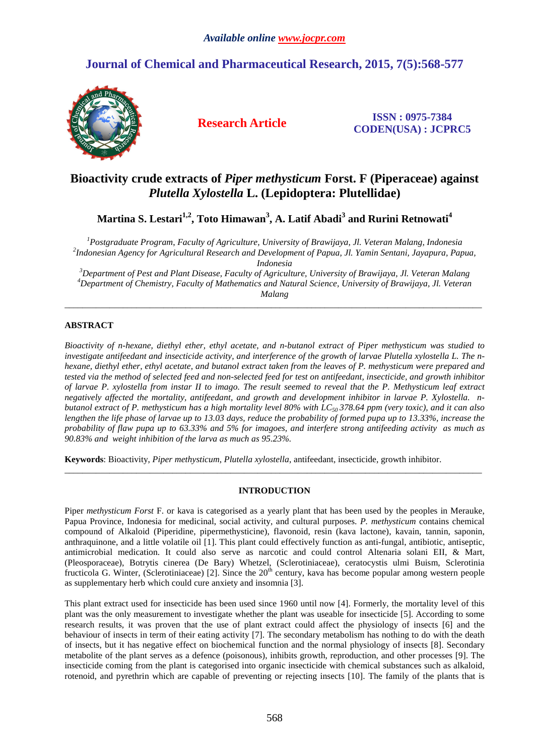# **Journal of Chemical and Pharmaceutical Research, 2015, 7(5):568-577**



**Research Article ISSN : 0975-7384 CODEN(USA) : JCPRC5**

# **Bioactivity crude extracts of** *Piper methysticum* **Forst. F (Piperaceae) against**  *Plutella Xylostella* **L. (Lepidoptera: Plutellidae)**

**Martina S. Lestari1,2, Toto Himawan<sup>3</sup> , A. Latif Abadi<sup>3</sup> and Rurini Retnowati<sup>4</sup>**

*<sup>1</sup>Postgraduate Program*, *Faculty of Agriculture, University of Brawijaya, Jl. Veteran Malang, Indonesia 2 Indonesian Agency for Agricultural Research and Development of Papua, Jl. Yamin Sentani, Jayapura, Papua, Indonesia* 

*<sup>3</sup>Department of Pest and Plant Disease, Faculty of Agriculture, University of Brawijaya, Jl. Veteran Malang <sup>4</sup>Department of Chemistry, Faculty of Mathematics and Natural Science, University of Brawijaya, Jl. Veteran Malang* 

\_\_\_\_\_\_\_\_\_\_\_\_\_\_\_\_\_\_\_\_\_\_\_\_\_\_\_\_\_\_\_\_\_\_\_\_\_\_\_\_\_\_\_\_\_\_\_\_\_\_\_\_\_\_\_\_\_\_\_\_\_\_\_\_\_\_\_\_\_\_\_\_\_\_\_\_\_\_\_\_\_\_\_\_\_\_\_\_\_\_\_\_\_

# **ABSTRACT**

*Bioactivity of n-hexane, diethyl ether, ethyl acetate, and n-butanol extract of Piper methysticum was studied to investigate antifeedant and insecticide activity, and interference of the growth of larvae Plutella xylostella L. The nhexane, diethyl ether, ethyl acetate, and butanol extract taken from the leaves of P. methysticum were prepared and tested via the method of selected feed and non-selected feed for test on antifeedant, insecticide, and growth inhibitor of larvae P. xylostella from instar II to imago. The result seemed to reveal that the P. Methysticum leaf extract negatively affected the mortality, antifeedant, and growth and development inhibitor in larvae P. Xylostella. nbutanol extract of P. methysticum has a high mortality level 80% with LC50 378.64 ppm (very toxic), and it can also lengthen the life phase of larvae up to 13.03 days, reduce the probability of formed pupa up to 13.33%, increase the probability of flaw pupa up to 63.33% and 5% for imagoes, and interfere strong antifeeding activity as much as 90.83% and weight inhibition of the larva as much as 95.23%.* 

**Keywords**: Bioactivity, *Piper methysticum*, *Plutella xylostella*, antifeedant, insecticide, growth inhibitor.

# **INTRODUCTION**

\_\_\_\_\_\_\_\_\_\_\_\_\_\_\_\_\_\_\_\_\_\_\_\_\_\_\_\_\_\_\_\_\_\_\_\_\_\_\_\_\_\_\_\_\_\_\_\_\_\_\_\_\_\_\_\_\_\_\_\_\_\_\_\_\_\_\_\_\_\_\_\_\_\_\_\_\_\_\_\_\_\_\_\_\_\_\_\_\_\_\_\_\_

Piper *methysticum Forst* F. or kava is categorised as a yearly plant that has been used by the peoples in Merauke, Papua Province, Indonesia for medicinal, social activity, and cultural purposes. *P. methysticum* contains chemical compound of Alkaloid (Piperidine, pipermethysticine), flavonoid, resin (kava lactone), kavain, tannin, saponin, anthraquinone, and a little volatile oil [1]. This plant could effectively function as anti-fungal, antibiotic, antiseptic, antimicrobial medication. It could also serve as narcotic and could control Altenaria solani EII, & Mart, (Pleosporaceae), Botrytis cinerea (De Bary) Whetzel, (Sclerotiniaceae), ceratocystis ulmi Buism, Sclerotinia fructicola G. Winter, (Sclerotiniaceae) [2]. Since the  $20<sup>th</sup>$  century, kava has become popular among western people as supplementary herb which could cure anxiety and insomnia [3].

This plant extract used for insecticide has been used since 1960 until now [4]. Formerly, the mortality level of this plant was the only measurement to investigate whether the plant was useable for insecticide [5]. According to some research results, it was proven that the use of plant extract could affect the physiology of insects [6] and the behaviour of insects in term of their eating activity [7]. The secondary metabolism has nothing to do with the death of insects, but it has negative effect on biochemical function and the normal physiology of insects [8]. Secondary metabolite of the plant serves as a defence (poisonous), inhibits growth, reproduction, and other processes [9]. The insecticide coming from the plant is categorised into organic insecticide with chemical substances such as alkaloid, rotenoid, and pyrethrin which are capable of preventing or rejecting insects [10]. The family of the plants that is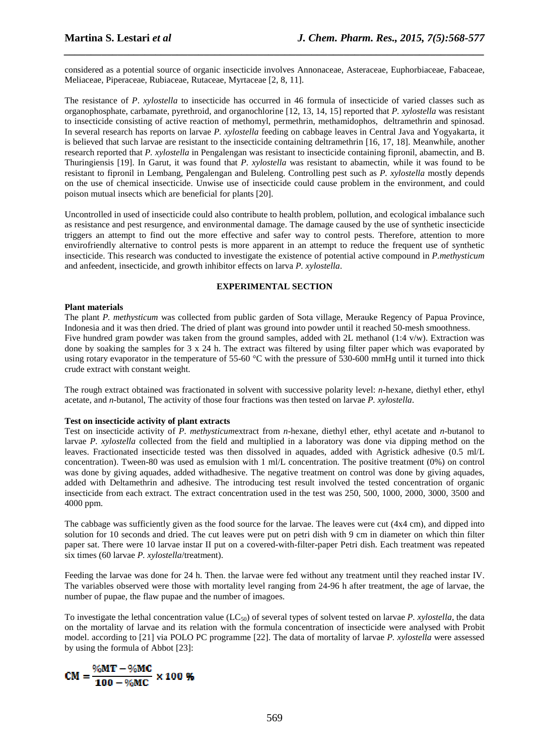considered as a potential source of organic insecticide involves Annonaceae, Asteraceae, Euphorbiaceae, Fabaceae, Meliaceae, Piperaceae, Rubiaceae, Rutaceae, Myrtaceae [2, 8, 11].

*\_\_\_\_\_\_\_\_\_\_\_\_\_\_\_\_\_\_\_\_\_\_\_\_\_\_\_\_\_\_\_\_\_\_\_\_\_\_\_\_\_\_\_\_\_\_\_\_\_\_\_\_\_\_\_\_\_\_\_\_\_\_\_\_\_\_\_\_\_\_\_\_\_\_\_\_\_\_*

The resistance of *P*. *xylostella* to insecticide has occurred in 46 formula of insecticide of varied classes such as organophosphate, carbamate, pyrethroid, and organochlorine [12, 13, 14, 15] reported that *P. xylostella* was resistant to insecticide consisting of active reaction of methomyl, permethrin, methamidophos, deltramethrin and spinosad. In several research has reports on larvae *P. xylostella* feeding on cabbage leaves in Central Java and Yogyakarta, it is believed that such larvae are resistant to the insecticide containing deltramethrin [16, 17, 18]. Meanwhile, another research reported that *P. xylostella* in Pengalengan was resistant to insecticide containing fipronil, abamectin, and B. Thuringiensis [19]. In Garut, it was found that *P. xylostella* was resistant to abamectin, while it was found to be resistant to fipronil in Lembang, Pengalengan and Buleleng. Controlling pest such as *P. xylostella* mostly depends on the use of chemical insecticide. Unwise use of insecticide could cause problem in the environment, and could poison mutual insects which are beneficial for plants [20].

Uncontrolled in used of insecticide could also contribute to health problem, pollution, and ecological imbalance such as resistance and pest resurgence, and environmental damage. The damage caused by the use of synthetic insecticide triggers an attempt to find out the more effective and safer way to control pests. Therefore, attention to more envirofriendly alternative to control pests is more apparent in an attempt to reduce the frequent use of synthetic insecticide. This research was conducted to investigate the existence of potential active compound in *P.methysticum* and anfeedent, insecticide, and growth inhibitor effects on larva *P. xylostella*.

#### **EXPERIMENTAL SECTION**

#### **Plant materials**

The plant *P. methysticum* was collected from public garden of Sota village, Merauke Regency of Papua Province, Indonesia and it was then dried. The dried of plant was ground into powder until it reached 50-mesh smoothness. Five hundred gram powder was taken from the ground samples, added with 2L methanol (1:4 v/w). Extraction was done by soaking the samples for 3 x 24 h. The extract was filtered by using filter paper which was evaporated by using rotary evaporator in the temperature of 55-60 °C with the pressure of 530-600 mmHg until it turned into thick crude extract with constant weight.

The rough extract obtained was fractionated in solvent with successive polarity level: *n*-hexane, diethyl ether, ethyl acetate, and *n*-butanol, The activity of those four fractions was then tested on larvae *P. xylostella*.

### **Test on insecticide activity of plant extracts**

Test on insecticide activity of *P. methysticum*extract from *n*-hexane, diethyl ether, ethyl acetate and *n*-butanol to larvae *P. xylostella* collected from the field and multiplied in a laboratory was done via dipping method on the leaves. Fractionated insecticide tested was then dissolved in aquades, added with Agristick adhesive (0.5 ml/L concentration). Tween-80 was used as emulsion with 1 ml/L concentration. The positive treatment (0%) on control was done by giving aquades, added withadhesive. The negative treatment on control was done by giving aquades, added with Deltamethrin and adhesive. The introducing test result involved the tested concentration of organic insecticide from each extract. The extract concentration used in the test was 250, 500, 1000, 2000, 3000, 3500 and 4000 ppm.

The cabbage was sufficiently given as the food source for the larvae. The leaves were cut (4x4 cm), and dipped into solution for 10 seconds and dried. The cut leaves were put on petri dish with 9 cm in diameter on which thin filter paper sat. There were 10 larvae instar II put on a covered-with-filter-paper Petri dish. Each treatment was repeated six times (60 larvae *P. xylostella*/treatment).

Feeding the larvae was done for 24 h. Then. the larvae were fed without any treatment until they reached instar IV. The variables observed were those with mortality level ranging from 24-96 h after treatment, the age of larvae, the number of pupae, the flaw pupae and the number of imagoes.

To investigate the lethal concentration value  $(LC_{50})$  of several types of solvent tested on larvae *P. xylostella*, the data on the mortality of larvae and its relation with the formula concentration of insecticide were analysed with Probit model. according to [21] via POLO PC programme [22]. The data of mortality of larvae *P. xylostella* were assessed by using the formula of Abbot [23]:

$$
CM = \frac{\%MT - \%MC}{100 - \%MC} \times 100 \%
$$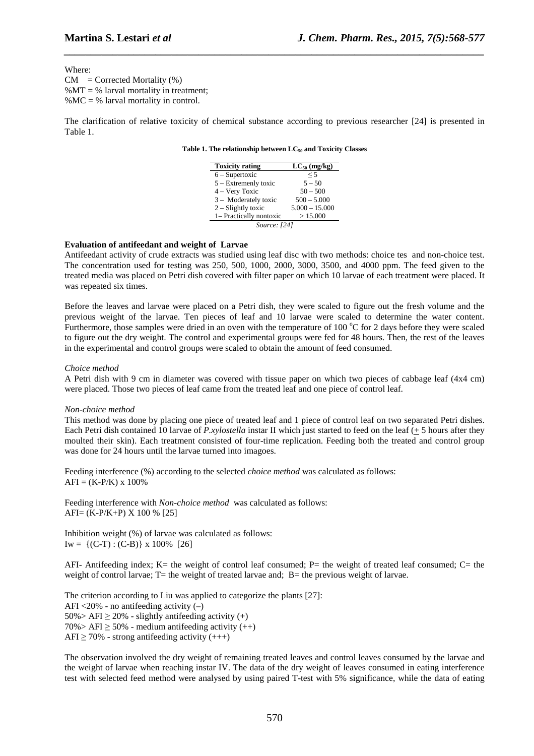Where:  $CM = Corrected Mortality (%)$ % $MT =$  % larval mortality in treatment; %MC = % larval mortality in control.

The clarification of relative toxicity of chemical substance according to previous researcher [24] is presented in Table 1.

*\_\_\_\_\_\_\_\_\_\_\_\_\_\_\_\_\_\_\_\_\_\_\_\_\_\_\_\_\_\_\_\_\_\_\_\_\_\_\_\_\_\_\_\_\_\_\_\_\_\_\_\_\_\_\_\_\_\_\_\_\_\_\_\_\_\_\_\_\_\_\_\_\_\_\_\_\_\_*

#### **Table 1. The relationship between LC50 and Toxicity Classes**

| <b>Toxicity rating</b>  | $LC_{50}$ (mg/kg) |  |  |  |  |
|-------------------------|-------------------|--|--|--|--|
| $6 -$ Supertoxic        | $\leq 5$          |  |  |  |  |
| 5 – Extremenly toxic    | $5 - 50$          |  |  |  |  |
| 4 – Very Toxic          | $50 - 500$        |  |  |  |  |
| 3 - Moderately toxic    | $500 - 5.000$     |  |  |  |  |
| $2 -$ Slightly toxic    | $5.000 - 15.000$  |  |  |  |  |
| 1- Practically nontoxic | >15.000           |  |  |  |  |
| Source: [24]            |                   |  |  |  |  |

#### **Evaluation of antifeedant and weight of Larvae**

Antifeedant activity of crude extracts was studied using leaf disc with two methods: choice tes and non-choice test. The concentration used for testing was 250, 500, 1000, 2000, 3000, 3500, and 4000 ppm. The feed given to the treated media was placed on Petri dish covered with filter paper on which 10 larvae of each treatment were placed. It was repeated six times.

Before the leaves and larvae were placed on a Petri dish, they were scaled to figure out the fresh volume and the previous weight of the larvae. Ten pieces of leaf and 10 larvae were scaled to determine the water content. Furthermore, those samples were dried in an oven with the temperature of 100  $\degree$ C for 2 days before they were scaled to figure out the dry weight. The control and experimental groups were fed for 48 hours. Then, the rest of the leaves in the experimental and control groups were scaled to obtain the amount of feed consumed.

#### *Choice method*

A Petri dish with 9 cm in diameter was covered with tissue paper on which two pieces of cabbage leaf (4x4 cm) were placed. Those two pieces of leaf came from the treated leaf and one piece of control leaf.

#### *Non-choice method*

This method was done by placing one piece of treated leaf and 1 piece of control leaf on two separated Petri dishes. Each Petri dish contained 10 larvae of *P.xylostella* instar II which just started to feed on the leaf (+ 5 hours after they moulted their skin). Each treatment consisted of four-time replication. Feeding both the treated and control group was done for 24 hours until the larvae turned into imagoes.

Feeding interference (%) according to the selected *choice method* was calculated as follows:  $AFI = (K-P/K) \times 100\%$ 

Feeding interference with *Non-choice method* was calculated as follows: AFI= (K-P/K+P) X 100 % [25]

Inhibition weight (%) of larvae was calculated as follows:  $Iw = \{ (C-T) : (C-B) \}$  x 100% [26]

AFI- Antifeeding index; K= the weight of control leaf consumed; P= the weight of treated leaf consumed; C= the weight of control larvae; T= the weight of treated larvae and; B= the previous weight of larvae.

The criterion according to Liu was applied to categorize the plants [27]: AFI  $\langle 20\%$  - no antifeeding activity  $(-)$  $50\%$  > AFI  $\geq$  20% - slightly antifeeding activity (+)  $70\%$  > AFI  $\geq$  50% - medium antifeeding activity (++) AFI  $\geq$  70% - strong antifeeding activity (+++)

The observation involved the dry weight of remaining treated leaves and control leaves consumed by the larvae and the weight of larvae when reaching instar IV. The data of the dry weight of leaves consumed in eating interference test with selected feed method were analysed by using paired T-test with 5% significance, while the data of eating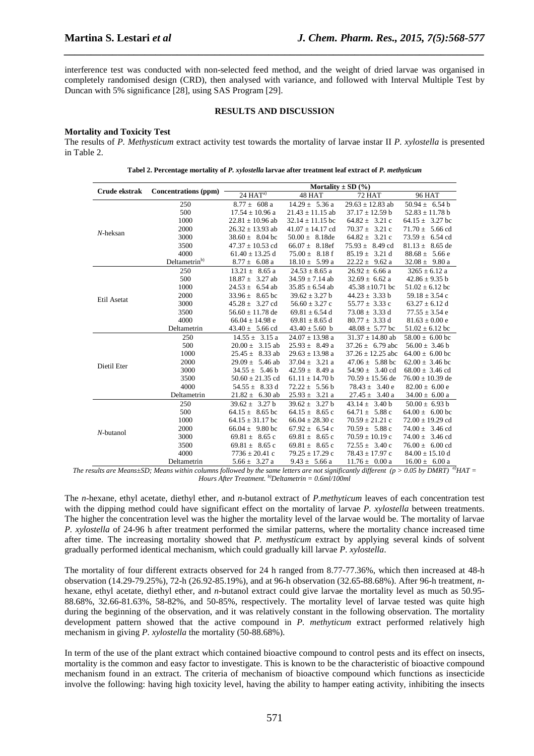interference test was conducted with non-selected feed method, and the weight of dried larvae was organised in completely randomised design (CRD), then analysed with variance, and followed with Interval Multiple Test by Duncan with 5% significance [28], using SAS Program [29].

*\_\_\_\_\_\_\_\_\_\_\_\_\_\_\_\_\_\_\_\_\_\_\_\_\_\_\_\_\_\_\_\_\_\_\_\_\_\_\_\_\_\_\_\_\_\_\_\_\_\_\_\_\_\_\_\_\_\_\_\_\_\_\_\_\_\_\_\_\_\_\_\_\_\_\_\_\_\_*

## **RESULTS AND DISCUSSION**

## **Mortality and Toxicity Test**

The results of *P. Methysticum* extract activity test towards the mortality of larvae instar II *P. xylostella* is presented in Table 2.

| Crude ekstrak | <b>Concentrations (ppm)</b> | $24 HAT^{a}$               | 48 HAT                     | 72 HAT                     | <b>96 HAT</b>        |
|---------------|-----------------------------|----------------------------|----------------------------|----------------------------|----------------------|
|               | 250                         | $8.77 \pm 608$ a           | $14.29 \pm 5.36$ a         | $29.63 \pm 12.83$ ab       | $50.94 \pm 6.54$ b   |
|               | 500                         | $17.54 \pm 10.96$ a        | $21.43 \pm 11.15$ ab       | $37.17 \pm 12.59$ b        | $52.83 \pm 11.78$ b  |
|               | 1000                        | $22.81 \pm 10.96$ ab       | $32.14 \pm 11.15$ bc       | $64.82 \pm 3.21$ c         | $64.15 \pm 3.27$ bc  |
|               | 2000                        | $26.32 \pm 13.93$ ab       | $41.07 \pm 14.17$ cd       | $70.37 \pm 3.21$ c         | $71.70 \pm 5.66$ cd  |
| $N$ -heksan   | 3000                        | $38.60 \pm 8.04$ bc        | $50.00 \pm 8.18$ de        | $64.82 \pm 3.21$ c         | $73.59 \pm 6.54$ cd  |
|               | 3500                        | $47.37 \pm 10.53$ cd       | $66.07 \pm 8.18$ ef        | $75.93 \pm 8.49$ cd        | $81.13 \pm 8.65$ de  |
|               | 4000                        | $61.40 \pm 13.25$ d        | $75.00 \pm 8.18$ f         | $85.19 \pm 3.21 \text{ d}$ | $88.68 \pm 5.66$ e   |
|               | Deltametrin <sup>b)</sup>   | $8.77 \pm 6.08$ a          | $18.10 \pm 5.99$ a         | $22.22 \pm 9.62$ a         | $32.08 \pm 9.80$ a   |
|               | 250                         | $13.21 \pm 8.65$ a         | $24.53 \pm 8.65$ a         | $26.92 \pm 6.66$ a         | $3265 \pm 6.12$ a    |
|               | 500                         | $18.87 \pm 3.27$ ab        | $34.59 \pm 7.14$ ab        | $32.69 \pm 6.62$ a         | $42.86 \pm 9.35$ b   |
|               | 1000                        | $24.53 \pm 6.54$ ab        | $35.85 \pm 6.54$ ab        | $45.38 \pm 10.71$ bc       | $51.02 \pm 6.12$ bc  |
|               | 2000                        | $33.96 \pm 8.65$ bc        | $39.62 \pm 3.27$ b         | $44.23 \pm 3.33$ b         | 59.18 $\pm$ 3.54 c   |
| Etil Asetat   | 3000                        | $45.28 \pm 3.27$ cd        | $56.60 \pm 3.27$ c         | $55.77 \pm 3.33$ c         | $63.27 \pm 6.12$ d   |
|               | 3500                        | $56.60 \pm 11.78$ de       | $69.81 \pm 6.54$ d         | $73.08 \pm 3.33$ d         | $77.55 \pm 3.54$ e   |
|               | 4000                        | $66.04 \pm 14.98$ e        | $69.81 \pm 8.65$ d         | $80.77 \pm 3.33 \text{ d}$ | $81.63 \pm 0.00$ e   |
|               | Deltametrin                 | $43.40 \pm 5.66$ cd        | $43.40 \pm 5.60$ b         | $48.08 \pm 5.77$ bc        | $51.02 \pm 6.12$ bc  |
|               | 250                         | $14.55 \pm 3.15$ a         | $24.07 \pm 13.98$ a        | $31.37 \pm 14.80$ ab       | $58.00 \pm 6.00$ bc  |
|               | 500                         | $20.00 \pm 3.15$ ab        | $25.93 \pm 8.49$ a         | $37.26 \pm 6.79$ abc       | $56.00 \pm 3.46$ b   |
|               | 1000                        | $25.45 \pm 8.33$ ab        | $29.63 \pm 13.98$ a        | $37.26 \pm 12.25$ abc      | $64.00 \pm 6.00$ bc  |
| Dietil Eter   | 2000                        | $29.09 \pm 5.46$ ab        | $37.04 \pm 3.21$ a         | $47.06 \pm 5.88$ bc        | $62.00 \pm 3.46$ bc  |
|               | 3000                        | $34.55 \pm 5.46 \text{ b}$ | $42.59 \pm 8.49$ a         | $54.90 \pm 3.40$ cd        | $68.00 \pm 3.46$ cd  |
|               | 3500                        | $50.60 \pm 21.35$ cd       | $61.11 \pm 14.70 b$        | $70.59 \pm 15.56$ de       | $76.00 \pm 10.39$ de |
|               | 4000                        | $54.55 \pm 8.33 \text{ d}$ | $72.22 \pm 5.56 \text{ b}$ | $78.43 \pm 3.40 e$         | $82.00 \pm 6.00 e$   |
|               | Deltametrin                 | $21.82 \pm 6.30$ ab        | $25.93 \pm 3.21$ a         | $27.45 \pm 3.40$ a         | $34.00 \pm 6.00$ a   |
|               | 250                         | $39.62 \pm 3.27$ b         | $39.62 \pm 3.27$ b         | $43.14 \pm 3.40 \text{ b}$ | $50.00 \pm 6.93 b$   |
| $N$ -butanol  | 500                         | 64.15 $\pm$ 8.65 bc        | $64.15 \pm 8.65$ c         | 64.71 $\pm$ 5.88 c         | $64.00 \pm 6.00$ bc  |
|               | 1000                        | $64.15 \pm 31.17$ bc       | $66.04 \pm 28.30$ c        | $70.59 \pm 21.21$ c        | $72.00 \pm 19.29$ cd |
|               | 2000                        | $66.04 \pm 9.80$ bc        | $67.92 \pm 6.54$ c         | $70.59 \pm 5.88$ c         | $74.00 \pm 3.46$ cd  |
|               | 3000                        | $69.81 \pm 8.65$ c         | $69.81 \pm 8.65$ c         | $70.59 \pm 10.19$ c        | $74.00 \pm 3.46$ cd  |
|               | 3500                        | $69.81 \pm 8.65$ c         | $69.81 \pm 8.65$ c         | $72.55 \pm 3.40 \text{ c}$ | $76.00 \pm 6.00$ cd  |
|               | 4000                        | $7736 \pm 20.41$ c         | $79.25 \pm 17.29$ c        | $78.43 \pm 17.97$ c        | $84.00 \pm 15.10$ d  |
|               | Deltametrin                 | $5.66 \pm 3.27$ a          | $9.43 \pm 5.66$ a          | $11.76 \pm 0.00 a$         | $16.00 \pm 6.00 a$   |

| Tabel 2. Percentage mortality of P. xylostella larvae after treatment leaf extract of P. methyticum |
|-----------------------------------------------------------------------------------------------------|
|-----------------------------------------------------------------------------------------------------|

*The results are Means±SD; Means within columns followed by the same letters are not significantly different (p > 0.05 by DMRT)*  $\frac{d}{dt}HAT =$ *Hours After Treatment. b)Deltametrin = 0.6ml/100ml*

The *n*-hexane, ethyl acetate, diethyl ether, and *n*-butanol extract of *P.methyticum* leaves of each concentration test with the dipping method could have significant effect on the mortality of larvae *P. xylostella* between treatments. The higher the concentration level was the higher the mortality level of the larvae would be. The mortality of larvae *P. xylostella* of 24-96 h after treatment performed the similar patterns, where the mortality chance increased time after time. The increasing mortality showed that *P. methysticum* extract by applying several kinds of solvent gradually performed identical mechanism, which could gradually kill larvae *P*. *xylostella*.

The mortality of four different extracts observed for 24 h ranged from 8.77-77.36%, which then increased at 48-h observation (14.29-79.25%), 72-h (26.92-85.19%), and at 96-h observation (32.65-88.68%). After 96-h treatment, *n*hexane, ethyl acetate, diethyl ether, and *n*-butanol extract could give larvae the mortality level as much as 50.95- 88.68%, 32.66-81.63%, 58-82%, and 50-85%, respectively. The mortality level of larvae tested was quite high during the beginning of the observation, and it was relatively constant in the following observation. The mortality development pattern showed that the active compound in *P. methyticum* extract performed relatively high mechanism in giving *P. xylostella* the mortality (50-88.68%).

In term of the use of the plant extract which contained bioactive compound to control pests and its effect on insects, mortality is the common and easy factor to investigate. This is known to be the characteristic of bioactive compound mechanism found in an extract. The criteria of mechanism of bioactive compound which functions as insecticide involve the following: having high toxicity level, having the ability to hamper eating activity, inhibiting the insects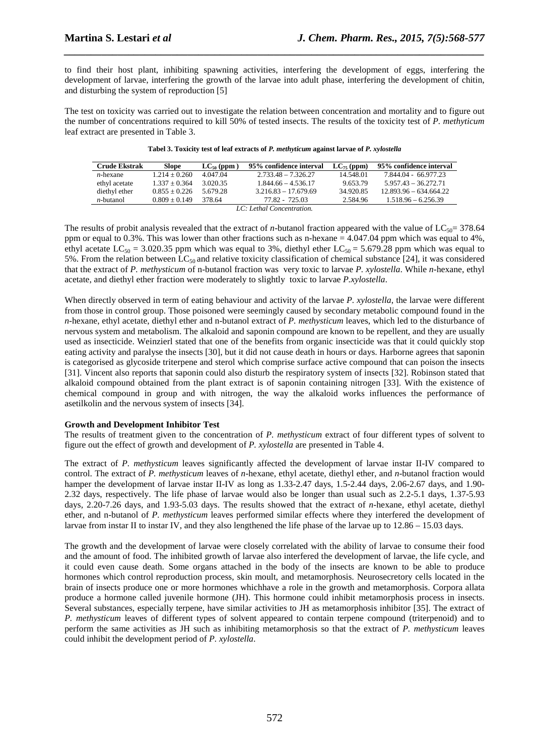to find their host plant, inhibiting spawning activities, interfering the development of eggs, interfering the development of larvae, interfering the growth of the larvae into adult phase, interfering the development of chitin, and disturbing the system of reproduction [5]

*\_\_\_\_\_\_\_\_\_\_\_\_\_\_\_\_\_\_\_\_\_\_\_\_\_\_\_\_\_\_\_\_\_\_\_\_\_\_\_\_\_\_\_\_\_\_\_\_\_\_\_\_\_\_\_\_\_\_\_\_\_\_\_\_\_\_\_\_\_\_\_\_\_\_\_\_\_\_*

The test on toxicity was carried out to investigate the relation between concentration and mortality and to figure out the number of concentrations required to kill 50% of tested insects. The results of the toxicity test of *P. methyticum* leaf extract are presented in Table 3.

| <b>Crude Ekstrak</b> | Slope           | $LC_{50}$ (ppm) | 95% confidence interval   | $LC_{75}$ (ppm) | 95% confidence interval  |
|----------------------|-----------------|-----------------|---------------------------|-----------------|--------------------------|
| $n$ -hexane          | $1.214 + 0.260$ | 4.047.04        | $2.733.48 - 7.326.27$     | 14.548.01       | 7.844.04 - 66.977.23     |
| ethyl acetate        | $1.337 + 0.364$ | 3.020.35        | $1.844.66 - 4.536.17$     | 9.653.79        | $5.957.43 - 36.272.71$   |
| diethyl ether        | $0.855 + 0.226$ | 5.679.28        | $3.216.83 - 17.679.69$    | 34.920.85       | $12.893.96 - 634.664.22$ |
| $n$ -butanol         | $0.809 + 0.149$ | 378.64          | 77.82 - 725.03            | 2.584.96        | $1.518.96 - 6.256.39$    |
|                      |                 |                 | LC: Lethal Concentration. |                 |                          |

The results of probit analysis revealed that the extract of *n*-butanol fraction appeared with the value of  $LC_{50}$ = 378.64 ppm or equal to 0.3%. This was lower than other fractions such as n-hexane = 4.047.04 ppm which was equal to 4%, ethyl acetate LC<sub>50</sub> = 3.020.35 ppm which was equal to 3%, diethyl ether LC<sub>50</sub> = 5.679.28 ppm which was equal to 5%. From the relation between  $LC_{50}$  and relative toxicity classification of chemical substance [24], it was considered that the extract of *P. methysticum* of n-butanol fraction was very toxic to larvae *P. xylostella*. While *n*-hexane, ethyl acetate, and diethyl ether fraction were moderately to slightly toxic to larvae *P.xylostella*.

When directly observed in term of eating behaviour and activity of the larvae *P. xylostella*, the larvae were different from those in control group. Those poisoned were seemingly caused by secondary metabolic compound found in the *n*-hexane, ethyl acetate, diethyl ether and n-butanol extract of *P. methysticum* leaves, which led to the disturbance of nervous system and metabolism. The alkaloid and saponin compound are known to be repellent, and they are usually used as insecticide. Weinzierl stated that one of the benefits from organic insecticide was that it could quickly stop eating activity and paralyse the insects [30], but it did not cause death in hours or days. Harborne agrees that saponin is categorised as glycoside triterpene and sterol which comprise surface active compound that can poison the insects [31]. Vincent also reports that saponin could also disturb the respiratory system of insects [32]. Robinson stated that alkaloid compound obtained from the plant extract is of saponin containing nitrogen [33]. With the existence of chemical compound in group and with nitrogen, the way the alkaloid works influences the performance of asetilkolin and the nervous system of insects [34].

## **Growth and Development Inhibitor Test**

The results of treatment given to the concentration of *P. methysticum* extract of four different types of solvent to figure out the effect of growth and development of *P. xylostella* are presented in Table 4.

The extract of *P. methysticum* leaves significantly affected the development of larvae instar II-IV compared to control. The extract of *P. methysticum* leaves of *n*-hexane, ethyl acetate, diethyl ether, and *n*-butanol fraction would hamper the development of larvae instar II-IV as long as 1.33-2.47 days, 1.5-2.44 days, 2.06-2.67 days, and 1.90-2.32 days, respectively. The life phase of larvae would also be longer than usual such as 2.2-5.1 days, 1.37-5.93 days, 2.20-7.26 days, and 1.93-5.03 days. The results showed that the extract of *n*-hexane, ethyl acetate, diethyl ether, and n-butanol of *P. methysticum* leaves performed similar effects where they interfered the development of larvae from instar II to instar IV, and they also lengthened the life phase of the larvae up to 12.86 – 15.03 days.

The growth and the development of larvae were closely correlated with the ability of larvae to consume their food and the amount of food. The inhibited growth of larvae also interfered the development of larvae, the life cycle, and it could even cause death. Some organs attached in the body of the insects are known to be able to produce hormones which control reproduction process, skin moult, and metamorphosis. Neurosecretory cells located in the brain of insects produce one or more hormones whichhave a role in the growth and metamorphosis. Corpora allata produce a hormone called juvenile hormone (JH). This hormone could inhibit metamorphosis process in insects. Several substances, especially terpene, have similar activities to JH as metamorphosis inhibitor [35]. The extract of *P. methysticum* leaves of different types of solvent appeared to contain terpene compound (triterpenoid) and to perform the same activities as JH such as inhibiting metamorphosis so that the extract of *P. methysticum* leaves could inhibit the development period of *P. xylostella*.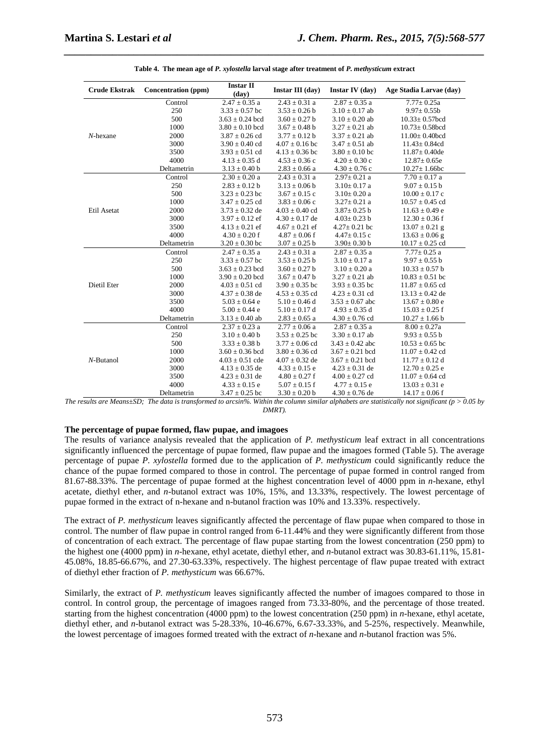| <b>Crude Ekstrak</b> | Concentration (ppm) | <b>Instar II</b><br>(day) | Instar III (day)   | <b>Instar IV</b> (day) | Age Stadia Larvae (day) |
|----------------------|---------------------|---------------------------|--------------------|------------------------|-------------------------|
|                      | Control             | $2.47 \pm 0.35$ a         | $2.43 \pm 0.31$ a  | $2.87 \pm 0.35$ a      | $7.77 \pm 0.25a$        |
|                      | 250                 | $3.33 \pm 0.57$ bc        | $3.53 \pm 0.26$ b  | $3.10 \pm 0.17$ ab     | $9.97 \pm 0.55$ b       |
|                      | 500                 | $3.63 \pm 0.24$ bcd       | $3.60 \pm 0.27$ b  | $3.10 \pm 0.20$ ab     | $10.33 \pm 0.57$ bcd    |
|                      | 1000                | $3.80 \pm 0.10$ bcd       | $3.67 \pm 0.48$ b  | $3.27 \pm 0.21$ ab     | $10.73 \pm 0.58$ bcd    |
| $N$ -hexane          | 2000                | $3.87 \pm 0.26$ cd        | $3.77 \pm 0.12$ b  | $3.37 \pm 0.21$ ab     | $11.00 \pm 0.40$ bcd    |
|                      | 3000                | $3.90 \pm 0.40$ cd        | $4.07 \pm 0.16$ bc | $3.47 \pm 0.51$ ab     | $11.43 \pm 0.84$ cd     |
|                      | 3500                | $3.93 \pm 0.51$ cd        | $4.13 \pm 0.36$ bc | $3.80 \pm 0.10$ bc     | $11.87 \pm 0.40$ de     |
|                      | 4000                | $4.13 \pm 0.35$ d         | $4.53 \pm 0.36$ c  | $4.20 \pm 0.30$ c      | $12.87 \pm 0.65e$       |
|                      | Deltametrin         | $3.13 \pm 0.40$ b         | $2.83 \pm 0.66$ a  | $4.30 \pm 0.76$ c      | $10.27 \pm 1.66$ bc     |
|                      | Control             | $2.30 \pm 0.20$ a         | $2.43 \pm 0.31$ a  | $2.97 \pm 0.21$ a      | $7.70 \pm 0.17$ a       |
|                      | 250                 | $2.83 \pm 0.12$ b         | $3.13 \pm 0.06$ b  | $3.10 \pm 0.17$ a      | $9.07 \pm 0.15$ b       |
|                      | 500                 | $3.23 \pm 0.23$ bc        | $3.67 \pm 0.15$ c  | $3.10 \pm 0.20$ a      | $10.00 \pm 0.17$ c      |
|                      | 1000                | $3.47 \pm 0.25$ cd        | $3.83 \pm 0.06$ c  | $3.27 \pm 0.21$ a      | $10.57 \pm 0.45$ cd     |
| Etil Asetat          | 2000                | $3.73 \pm 0.32$ de        | $4.03 \pm 0.40$ cd | $3.87 \pm 0.25$ b      | $11.63 \pm 0.49$ e      |
|                      | 3000                | $3.97 \pm 0.12$ ef        | $4.30 \pm 0.17$ de | $4.03 \pm 0.23$ b      | $12.30 \pm 0.36$ f      |
|                      | 3500                | $4.13 \pm 0.21$ ef        | $4.67 \pm 0.21$ ef | $4.27 \pm 0.21$ bc     | $13.07 \pm 0.21$ g      |
|                      | 4000                | $4.30 \pm 0.20$ f         | $4.87 \pm 0.06$ f  | $4.47 \pm 0.15$ c      | $13.63 \pm 0.06$ g      |
|                      | Deltametrin         | $3.20 \pm 0.30$ bc        | $3.07 \pm 0.25$ b  | $3.90 \pm 0.30$ b      | $10.17 \pm 0.25$ cd     |
|                      | Control             | $2.47 \pm 0.35$ a         | $2.43 \pm 0.31$ a  | $2.87 \pm 0.35$ a      | $7.77 \pm 0.25$ a       |
|                      | 250                 | $3.33 \pm 0.57$ bc        | $3.53 \pm 0.25$ b  | $3.10 \pm 0.17$ a      | $9.97 \pm 0.55$ b       |
|                      | 500                 | $3.63 \pm 0.23$ bcd       | $3.60 \pm 0.27$ b  | $3.10 \pm 0.20$ a      | $10.33 \pm 0.57$ b      |
|                      | 1000                | $3.90 \pm 0.20$ bcd       | $3.67 \pm 0.47$ b  | $3.27 \pm 0.21$ ab     | $10.83 \pm 0.51$ bc     |
| Dietil Eter          | 2000                | $4.03 \pm 0.51$ cd        | $3.90 \pm 0.35$ bc | $3.93 \pm 0.35$ bc     | $11.87 \pm 0.65$ cd     |
|                      | 3000                | $4.37 \pm 0.38$ de        | $4.53 \pm 0.35$ cd | $4.23 \pm 0.31$ cd     | $13.13 \pm 0.42$ de     |
|                      | 3500                | $5.03 \pm 0.64$ e         | $5.10 \pm 0.46$ d  | $3.53 \pm 0.67$ abc    | $13.67 \pm 0.80$ e      |
|                      | 4000                | $5.00 \pm 0.44$ e         | $5.10 \pm 0.17$ d  | $4.93 \pm 0.35$ d      | $15.03 \pm 0.25$ f      |
|                      | Deltametrin         | $3.13 \pm 0.40$ ab        | $2.83 \pm 0.65$ a  | $4.30 \pm 0.76$ cd     | $10.27 \pm 1.66$ b      |
|                      | Control             | $2.37 \pm 0.23$ a         | $2.77 \pm 0.06$ a  | $2.87 \pm 0.35$ a      | $8.00 \pm 0.27a$        |
|                      | 250                 | $3.10 \pm 0.40$ b         | $3.53 \pm 0.25$ bc | $3.30 \pm 0.17$ ab     | $9.93 \pm 0.55$ b       |
|                      | 500                 | $3.33 \pm 0.38$ b         | $3.77 \pm 0.06$ cd | $3.43 \pm 0.42$ abc    | $10.53 \pm 0.65$ bc     |
|                      | 1000                | $3.60 \pm 0.36$ bcd       | $3.80 \pm 0.36$ cd | $3.67 \pm 0.21$ bcd    | $11.07 \pm 0.42$ cd     |
| $N$ -Butanol         | 2000                | $4.03 \pm 0.51$ cde       | $4.07 \pm 0.32$ de | $3.67 \pm 0.21$ bcd    | $11.77 \pm 0.12$ d      |
|                      | 3000                | $4.13 \pm 0.35$ de        | $4.33 \pm 0.15$ e  | $4.23 \pm 0.31$ de     | $12.70 \pm 0.25$ e      |
|                      | 3500                | $4.23 \pm 0.31$ de        | $4.80 \pm 0.27$ f  | $4.00 \pm 0.27$ cd     | $11.07 \pm 0.64$ cd     |
|                      | 4000                | $4.33 \pm 0.15$ e         | $5.07 \pm 0.15$ f  | $4.77 \pm 0.15$ e      | $13.03 \pm 0.31$ e      |
|                      | Deltametrin         | $3.47 \pm 0.25$ bc        | $3.30 \pm 0.20$ b  | $4.30 \pm 0.76$ de     | $14.17 \pm 0.06$ f      |

| Table 4. The mean age of P. xylostella larval stage after treatment of P. methysticum extract |  |  |  |
|-----------------------------------------------------------------------------------------------|--|--|--|
|                                                                                               |  |  |  |

*\_\_\_\_\_\_\_\_\_\_\_\_\_\_\_\_\_\_\_\_\_\_\_\_\_\_\_\_\_\_\_\_\_\_\_\_\_\_\_\_\_\_\_\_\_\_\_\_\_\_\_\_\_\_\_\_\_\_\_\_\_\_\_\_\_\_\_\_\_\_\_\_\_\_\_\_\_\_*

*The results are Means* $\pm$ *SD; The data is transformed to arcsin%. Within the column similar alphabets are statistically not significant (p > 0.05 by DMRT).*

# **The percentage of pupae formed, flaw pupae, and imagoes**

The results of variance analysis revealed that the application of *P. methysticum* leaf extract in all concentrations significantly influenced the percentage of pupae formed, flaw pupae and the imagoes formed (Table 5). The average percentage of pupae *P. xylostella* formed due to the application of *P. methysticum* could significantly reduce the chance of the pupae formed compared to those in control. The percentage of pupae formed in control ranged from 81.67-88.33%. The percentage of pupae formed at the highest concentration level of 4000 ppm in *n*-hexane, ethyl acetate, diethyl ether, and *n*-butanol extract was 10%, 15%, and 13.33%, respectively. The lowest percentage of pupae formed in the extract of n-hexane and n-butanol fraction was 10% and 13.33%. respectively.

The extract of *P. methysticum* leaves significantly affected the percentage of flaw pupae when compared to those in control. The number of flaw pupae in control ranged from 6-11.44% and they were significantly different from those of concentration of each extract. The percentage of flaw pupae starting from the lowest concentration (250 ppm) to the highest one (4000 ppm) in *n*-hexane, ethyl acetate, diethyl ether, and *n*-butanol extract was 30.83-61.11%, 15.81- 45.08%, 18.85-66.67%, and 27.30-63.33%, respectively. The highest percentage of flaw pupae treated with extract of diethyl ether fraction of *P. methysticum* was 66.67%.

Similarly, the extract of *P. methysticum* leaves significantly affected the number of imagoes compared to those in control. In control group, the percentage of imagoes ranged from 73.33-80%, and the percentage of those treated. starting from the highest concentration (4000 ppm) to the lowest concentration (250 ppm) in *n*-hexane, ethyl acetate, diethyl ether, and *n*-butanol extract was 5-28.33%, 10-46.67%, 6.67-33.33%, and 5-25%, respectively. Meanwhile, the lowest percentage of imagoes formed treated with the extract of *n*-hexane and *n*-butanol fraction was 5%.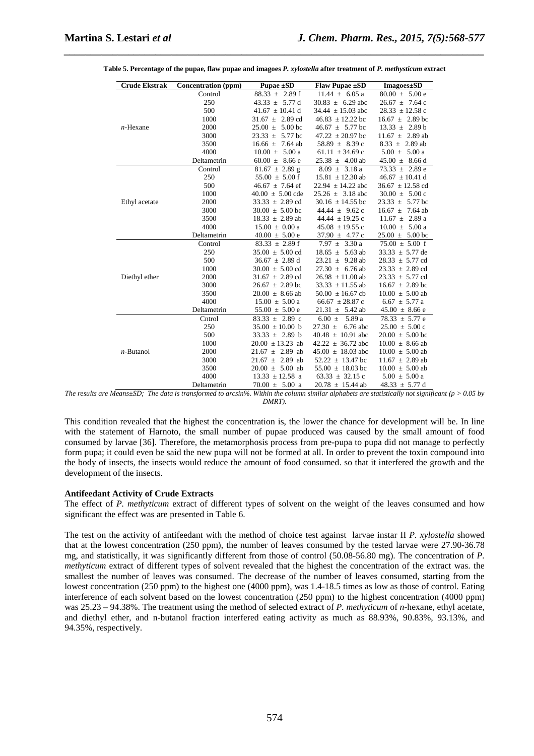| <b>Crude Ekstrak</b> | <b>Concentration</b> (ppm) | Pupae ±SD                  | Flaw Pupae ±SD            | <b>Imagoes</b> ±SD         |
|----------------------|----------------------------|----------------------------|---------------------------|----------------------------|
|                      | Control                    | $88.33 \pm 2.89$ f         | $11.44 \pm 6.05$ a        | $80.00 \pm 5.00 e$         |
|                      | 250                        | $43.33 \pm 5.77 \text{ d}$ | $30.83 \pm 6.29$ abc      | $26.67 \pm 7.64$ c         |
|                      | 500                        | 41.67 $\pm$ 10.41 d        | 34.44 $\pm$ 15.03 abc     | $28.33 \pm 12.58$ c        |
|                      | 1000                       | $31.67 \pm 2.89$ cd        | $46.83 \pm 12.22$ bc      | $16.67 \pm 2.89$ bc        |
| $n$ -Hexane          | 2000                       | $25.00 \pm 5.00$ bc        | $46.67 \pm 5.77$ bc       | $13.33 \pm 2.89 b$         |
|                      | 3000                       | $23.33 \pm 5.77$ bc        | 47.22 $\pm$ 20.97 bc      | $11.67 \pm 2.89$ ab        |
|                      | 3500                       | $16.66 \pm 7.64$ ab        | $58.89 \pm 8.39$ c        | $8.33 \pm 2.89$ ab         |
|                      | 4000                       | $10.00 \pm 5.00$ a         | 61.11 $\pm$ 34.69 c       | $5.00 \pm 5.00$ a          |
|                      | Deltametrin                | $60.00 \pm 8.66$ e         | $25.38 \pm 4.00$ ab       | $45.00 \pm 8.66$ d         |
|                      | Control                    | $81.67 \pm 2.89$ g         | $8.09 \pm 3.18$ a         | $73.33 \pm 2.89$ e         |
|                      | 250                        | $55.00 \pm 5.00$ f         | $15.81 \pm 12.30$ ab      | $46.67 \pm 10.41$ d        |
|                      | 500                        | $46.67 \pm 7.64$ ef        | $22.94 \pm 14.22$ abc     | $36.67 \pm 12.58$ cd       |
|                      | 1000                       | $40.00 \pm 5.00$ cde       | $25.26 \pm 3.18$ abc      | $30.00 \pm 5.00 \text{ c}$ |
| Ethyl acetate        | 2000                       | $33.33 \pm 2.89$ cd        | 30.16 $\pm$ 14.55 bc      | $23.33 \pm 5.77$ bc        |
|                      | 3000                       | $30.00 \pm 5.00$ bc        | $44.44 \pm 9.62$ c        | $16.67 \pm 7.64$ ab        |
|                      | 3500                       | $18.33 \pm 2.89$ ab        | 44.44 $\pm$ 19.25 c       | $11.67 \pm 2.89$ a         |
|                      | 4000                       | $15.00 \pm 0.00 a$         | $45.08 \pm 19.55$ c       | $10.00 \pm 5.00 a$         |
|                      | Deltametrin                | $40.00 \pm 5.00 e$         | 37.90 $\pm$ 4.77 c        | $25.00 \pm 5.00$ bc        |
|                      | Control                    | $83.33 \pm 2.89$ f         | $7.97 \pm 3.30 \text{ a}$ | $75.00 \pm 5.00$ f         |
|                      | 250                        | $35.00 \pm 5.00$ cd        | $18.65 \pm 5.63$ ab       | $33.33 \pm 5.77$ de        |
|                      | 500                        | $36.67 \pm 2.89$ d         | 23.21 $\pm$ 9.28 ab       | $28.33 \pm 5.77$ cd        |
|                      | 1000                       | $30.00 \pm 5.00$ cd        | $27.30 \pm 6.76$ ab       | $23.33 \pm 2.89$ cd        |
| Diethyl ether        | 2000                       | $31.67 \pm 2.89$ cd        | $26.98 \pm 11.00$ ab      | $23.33 \pm 5.77$ cd        |
|                      | 3000                       | $26.67 \pm 2.89$ bc        | $33.33 \pm 11.55$ ab      | $16.67 \pm 2.89$ bc        |
|                      | 3500                       | $20.00 \pm 8.66$ ab        | $50.00 \pm 16.67$ cb      | $10.00 \pm 5.00$ ab        |
|                      | 4000                       | $15.00 \pm 5.00$ a         | 66.67 $\pm$ 28.87 c       | $6.67 \pm 5.77$ a          |
|                      | Deltametrin                | $55.00 \pm 5.00 e$         | $21.31 \pm 5.42$ ab       | $45.00 \pm 8.66$ e         |
|                      | Cntrol                     | $83.33 \pm 2.89$ c         | $6.00 \pm 5.89$ a         | $78.33 \pm 5.77$ e         |
|                      | 250                        | $35.00 \pm 10.00$ b        | $27.30 \pm$<br>6.76 abc   | $25.00 \pm 5.00 \text{ c}$ |
|                      | 500                        | $33.33 \pm 2.89$ b         | $40.48 \pm 10.91$ abc     | $20.00 \pm 5.00$ bc        |
|                      | 1000                       | $20.00 \pm 13.23$ ab       | $42.22 \pm 36.72$ abc     | $10.00 \pm 8.66$ ab        |
| $n$ -Butanol         | 2000                       | $21.67 \pm 2.89$ ab        | $45.00 \pm 18.03$ abc     | $10.00 \pm 5.00$ ab        |
|                      | 3000                       | $21.67 \pm 2.89$ ab        | $52.22 \pm 13.47$ bc      | $11.67 \pm 2.89$ ab        |
|                      | 3500                       | $20.00 \pm 5.00$ ab        | $55.00 \pm 18.03$ bc      | $10.00 \pm 5.00$ ab        |
|                      | 4000                       | $13.33 \pm 12.58$ a        | 63.33 $\pm$ 32.15 c       | $5.00 \pm 5.00$ a          |
|                      | Deltametrin                | $70.00 \pm 5.00$ a         | $20.78 \pm 15.44$ ab      | 48.33 $\pm$ 5.77 d         |

|  |  | Table 5. Percentage of the pupae, flaw pupae and imagoes P. xylostella after treatment of P. methysticum extract |  |
|--|--|------------------------------------------------------------------------------------------------------------------|--|
|  |  |                                                                                                                  |  |

*\_\_\_\_\_\_\_\_\_\_\_\_\_\_\_\_\_\_\_\_\_\_\_\_\_\_\_\_\_\_\_\_\_\_\_\_\_\_\_\_\_\_\_\_\_\_\_\_\_\_\_\_\_\_\_\_\_\_\_\_\_\_\_\_\_\_\_\_\_\_\_\_\_\_\_\_\_\_*

*The results are Means* $\pm$ *SD; The data is transformed to arcsin%. Within the column similar alphabets are statistically not significant (p > 0.05 by DMRT).* 

This condition revealed that the highest the concentration is, the lower the chance for development will be. In line with the statement of Harnoto*,* the small number of pupae produced was caused by the small amount of food consumed by larvae [36]. Therefore, the metamorphosis process from pre-pupa to pupa did not manage to perfectly form pupa; it could even be said the new pupa will not be formed at all. In order to prevent the toxin compound into the body of insects, the insects would reduce the amount of food consumed. so that it interfered the growth and the development of the insects.

#### **Antifeedant Activity of Crude Extracts**

The effect of *P. methyticum* extract of different types of solvent on the weight of the leaves consumed and how significant the effect was are presented in Table 6.

The test on the activity of antifeedant with the method of choice test against larvae instar II *P. xylostella* showed that at the lowest concentration (250 ppm), the number of leaves consumed by the tested larvae were 27.90-36.78 mg, and statistically, it was significantly different from those of control (50.08-56.80 mg). The concentration of *P. methyticum* extract of different types of solvent revealed that the highest the concentration of the extract was. the smallest the number of leaves was consumed. The decrease of the number of leaves consumed, starting from the lowest concentration (250 ppm) to the highest one (4000 ppm), was 1.4-18.5 times as low as those of control. Eating interference of each solvent based on the lowest concentration (250 ppm) to the highest concentration (4000 ppm) was 25.23 – 94.38%. The treatment using the method of selected extract of *P. methyticum* of *n*-hexane, ethyl acetate, and diethyl ether, and n-butanol fraction interfered eating activity as much as 88.93%, 90.83%, 93.13%, and 94.35%, respectively.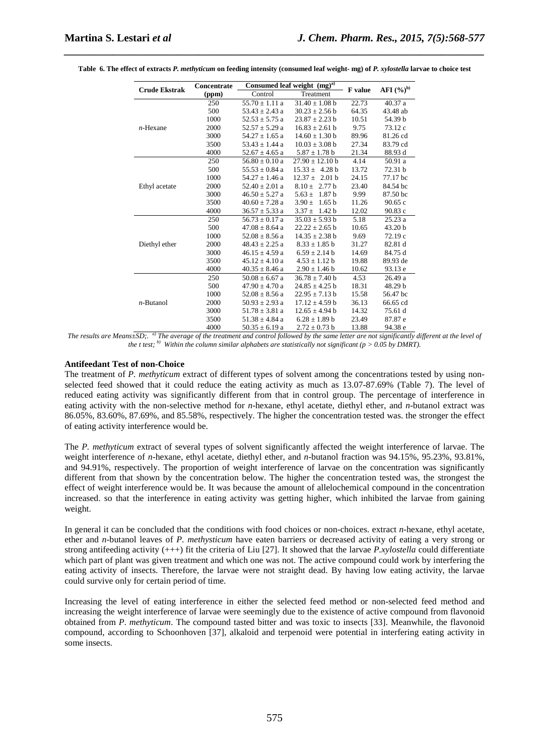| <b>Crude Ekstrak</b> | Concentrate |                    | Consumed leaf weight (mg) <sup>a)</sup> | <b>F</b> value | AFI $(%)^b$ |
|----------------------|-------------|--------------------|-----------------------------------------|----------------|-------------|
|                      | (ppm)       | Control            | Treatment                               |                |             |
|                      | 250         | $55.70 \pm 1.11$ a | $31.40 \pm 1.08$ b                      | 22.73          | 40.37 a     |
|                      | 500         | $53.43 \pm 2.43$ a | $30.23 \pm 2.56$ b                      | 64.35          | 43.48 ab    |
|                      | 1000        | $52.53 \pm 5.75$ a | $23.87 \pm 2.23$ b                      | 10.51          | 54.39 b     |
| $n$ -Hexane          | 2000        | $52.57 \pm 5.29$ a | $16.83 \pm 2.61$ b                      | 9.75           | 73.12 c     |
|                      | 3000        | $54.27 \pm 1.65$ a | $14.60 \pm 1.30$ b                      | 89.96          | 81.26 cd    |
|                      | 3500        | $53.43 \pm 1.44$ a | $10.03 \pm 3.08$ b                      | 27.34          | 83.79 cd    |
|                      | 4000        | $52.67 \pm 4.65$ a | $5.87 \pm 1.78$ b                       | 21.34          | 88.93 d     |
|                      | 250         | $56.80 \pm 0.10$ a | $27.90 \pm 12.10$ b                     | 4.14           | 50.91 a     |
|                      | 500         | $55.53 \pm 0.84$ a | $15.33 \pm 4.28 b$                      | 13.72          | 72.31 b     |
|                      | 1000        | $54.27 \pm 1.46$ a | $12.37 \pm 2.01 \text{ b}$              | 24.15          | 77.17 bc    |
| Ethyl acetate        | 2000        | $52.40 \pm 2.01$ a | $8.10 \pm 2.77$ b                       | 23.40          | 84.54 bc    |
|                      | 3000        | $46.50 \pm 5.27$ a | $5.63 \pm 1.87$ b                       | 9.99           | 87.50 bc    |
|                      | 3500        | $40.60 \pm 7.28$ a | $3.90 \pm 1.65$ b                       | 11.26          | 90.65c      |
|                      | 4000        | $36.57 \pm 5.33$ a | $3.37 \pm 1.42 b$                       | 12.02          | 90.83c      |
|                      | 250         | $56.73 \pm 0.17$ a | $35.03 \pm 5.93 b$                      | 5.18           | 25.23a      |
|                      | 500         | $47.08 \pm 8.64$ a | $22.22 \pm 2.65$ b                      | 10.65          | 43.20 b     |
|                      | 1000        | $52.08 \pm 8.56$ a | $14.35 \pm 2.38$ b                      | 9.69           | 72.19 c     |
| Diethyl ether        | 2000        | $48.43 \pm 2.25$ a | $8.33 \pm 1.85$ b                       | 31.27          | 82.81 d     |
|                      | 3000        | $46.15 \pm 4.59$ a | $6.59 \pm 2.14 b$                       | 14.69          | 84.75 d     |
|                      | 3500        | $45.12 \pm 4.10$ a | $4.53 \pm 1.12 b$                       | 19.88          | 89.93 de    |
|                      | 4000        | $40.35 \pm 8.46$ a | $2.90 \pm 1.46$ b                       | 10.62          | 93.13 e     |
|                      | 250         | $50.08 \pm 6.67$ a | $36.78 \pm 7.40$ b                      | 4.53           | 26.49 a     |
|                      | 500         | $47.90 \pm 4.70$ a | $24.85 \pm 4.25$ b                      | 18.31          | 48.29 b     |
|                      | 1000        | $52.08 \pm 8.56$ a | $22.95 \pm 7.13$ b                      | 15.58          | 56.47 bc    |
| $n$ -Butanol         | 2000        | $50.93 \pm 2.93$ a | $17.12 \pm 4.59$ b                      | 36.13          | 66.65 cd    |
|                      | 3000        | $51.78 \pm 3.81$ a | $12.65 \pm 4.94$ b                      | 14.32          | 75.61 d     |
|                      | 3500        | $51.38 \pm 4.84$ a | $6.28 \pm 1.89$ b                       | 23.49          | 87.87 e     |
|                      | 4000        | $50.35 \pm 6.19$ a | $2.72 \pm 0.73$ b                       | 13.88          | 94.38 e     |

**Table 6. The effect of extracts** *P. methyticum* **on feeding intensity (consumed leaf weight- mg) of** *P. xylostella* **larvae to choice test** 

*\_\_\_\_\_\_\_\_\_\_\_\_\_\_\_\_\_\_\_\_\_\_\_\_\_\_\_\_\_\_\_\_\_\_\_\_\_\_\_\_\_\_\_\_\_\_\_\_\_\_\_\_\_\_\_\_\_\_\_\_\_\_\_\_\_\_\_\_\_\_\_\_\_\_\_\_\_\_*

*The results are Means±SD;. a) The average of the treatment and control followed by the same letter are not significantly different at the level of the t test;* <sup>*b*)</sup> Within the column similar alphabets are statistically not significant (p > 0.05 by DMRT).

#### **Antifeedant Test of non-Choice**

The treatment of *P. methyticum* extract of different types of solvent among the concentrations tested by using nonselected feed showed that it could reduce the eating activity as much as 13.07-87.69% (Table 7). The level of reduced eating activity was significantly different from that in control group. The percentage of interference in eating activity with the non-selective method for *n*-hexane, ethyl acetate, diethyl ether, and *n*-butanol extract was 86.05%, 83.60%, 87.69%, and 85.58%, respectively. The higher the concentration tested was. the stronger the effect of eating activity interference would be.

The *P. methyticum* extract of several types of solvent significantly affected the weight interference of larvae. The weight interference of *n*-hexane, ethyl acetate, diethyl ether, and *n*-butanol fraction was 94.15%, 95.23%, 93.81%, and 94.91%, respectively. The proportion of weight interference of larvae on the concentration was significantly different from that shown by the concentration below. The higher the concentration tested was, the strongest the effect of weight interference would be. It was because the amount of allelochemical compound in the concentration increased. so that the interference in eating activity was getting higher, which inhibited the larvae from gaining weight.

In general it can be concluded that the conditions with food choices or non-choices. extract *n*-hexane, ethyl acetate, ether and *n*-butanol leaves of *P. methysticum* have eaten barriers or decreased activity of eating a very strong or strong antifeeding activity (+++) fit the criteria of Liu [27]. It showed that the larvae *P.xylostella* could differentiate which part of plant was given treatment and which one was not. The active compound could work by interfering the eating activity of insects. Therefore, the larvae were not straight dead. By having low eating activity, the larvae could survive only for certain period of time.

Increasing the level of eating interference in either the selected feed method or non-selected feed method and increasing the weight interference of larvae were seemingly due to the existence of active compound from flavonoid obtained from *P*. *methyticum*. The compound tasted bitter and was toxic to insects [33]. Meanwhile, the flavonoid compound, according to Schoonhoven [37], alkaloid and terpenoid were potential in interfering eating activity in some insects.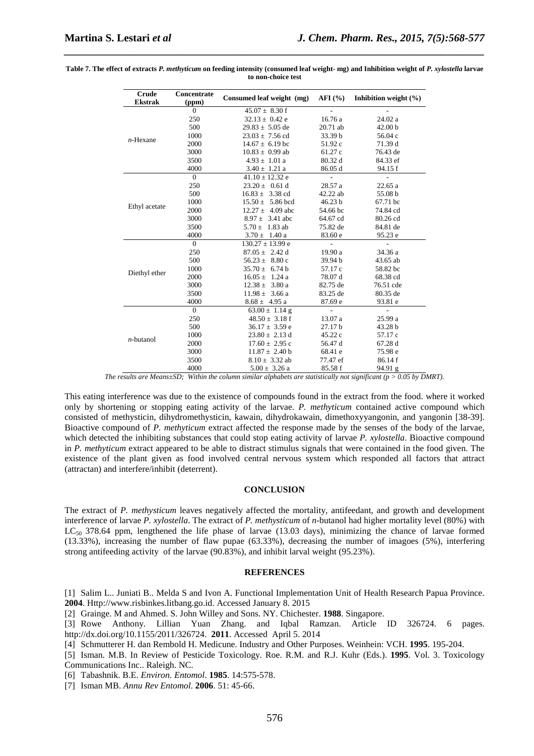| Crude<br><b>Ekstrak</b> | Concentrate<br>(ppm) | Consumed leaf weight (mg)  | $AFI$ (%)      | Inhibition weight $(\% )$ |
|-------------------------|----------------------|----------------------------|----------------|---------------------------|
|                         | $\overline{0}$       | $45.07 \pm 8.30$ f         |                |                           |
|                         | 250                  | $32.13 \pm 0.42$ e         | 16.76 a        | 24.02 a                   |
|                         | 500                  | $29.83 \pm 5.05$ de        | 20.71 ab       | 42.00 <sub>b</sub>        |
|                         | 1000                 | $23.03 \pm 7.56$ cd        | 33.39 b        | 56.04 c                   |
| $n$ -Hexane             | 2000                 | $14.67 \pm 6.19$ bc        | 51.92 c        | 71.39 d                   |
|                         | 3000                 | $10.83 \pm 0.99$ ab        | 61.27 c        | 76.43 de                  |
|                         | 3500                 | $4.93 \pm 1.01$ a          | 80.32 d        | 84.33 ef                  |
|                         | 4000                 | $3.40 \pm 1.21$ a          | 86.05 d        | 94.15 f                   |
|                         | $\overline{0}$       | $41.10 \pm 12.32$ e        | $\overline{a}$ |                           |
|                         | 250                  | $23.20 \pm 0.61$ d         | 28.57 a        | 22.65 a                   |
|                         | 500                  | $16.83 \pm 3.38$ cd        | 42.22 ab       | 55.08 b                   |
|                         | 1000                 | $15.50 \pm 5.86$ bcd       | 46.23 b        | 67.71 bc                  |
| Ethyl acetate           | 2000                 | $12.27 \pm 4.09$ abc       | 54.66 bc       | 74.84 cd                  |
|                         | 3000                 | $8.97 \pm 3.41$ abc        | 64.67 cd       | 80.26 cd                  |
|                         | 3500                 | $5.70 \pm 1.83$ ab         | 75.82 de       | 84.81 de                  |
|                         | 4000                 | $3.70 \pm 1.40$ a          | 83.60 e        | 95.23 e                   |
|                         | $\overline{0}$       | $130.27 \pm 13.99$ e       | $\overline{a}$ | ÷.                        |
|                         | 250                  | $87.05 \pm 2.42 \text{ d}$ | 19.90 a        | 34.36 a                   |
|                         | 500                  | $56.23 \pm 8.80$ c         | 39.94 b        | 43.65 ab                  |
|                         | 1000                 | $35.70 \pm 6.74 b$         | 57.17 c        | 58.82 bc                  |
| Diethyl ether           | 2000                 | $16.05 \pm 1.24$ a         | 78.07 d        | 68.38 cd                  |
|                         | 3000                 | $12.38 \pm 3.80$ a         | 82.75 de       | 76.51 cde                 |
|                         | 3500                 | $11.98 \pm 3.66$ a         | 83.25 de       | 80.35 de                  |
|                         | 4000                 | $8.68 \pm 4.95$ a          | 87.69 e        | 93.81 e                   |
|                         | $\overline{0}$       | 63.00 $\pm$ 1.14 g         | $\overline{a}$ |                           |
|                         | 250                  | $48.50 \pm 3.18$ f         | 13.07 a        | 25.99 a                   |
|                         | 500                  | $36.17 \pm 3.59$ e         | 27.17 b        | 43.28 b                   |
| $n$ -butanol            | 1000                 | $23.80 \pm 2.13$ d         | 45.22c         | 57.17 c                   |
|                         | 2000                 | $17.60 \pm 2.95$ c         | 56.47 d        | 67.28 d                   |
|                         | 3000                 | $11.87 \pm 2.40 \text{ b}$ | 68.41 e        | 75.98 e                   |
|                         | 3500                 | $8.10 \pm 3.32$ ab         | 77.47 ef       | 86.14 f                   |
|                         | 4000                 | $5.00 \pm 3.26$ a          | 85.58 f        | 94.91 g                   |

**Table 7. The effect of extracts** *P. methyticum* **on feeding intensity (consumed leaf weight- mg) and Inhibition weight of** *P. xylostella* **larvae to non-choice test** 

*\_\_\_\_\_\_\_\_\_\_\_\_\_\_\_\_\_\_\_\_\_\_\_\_\_\_\_\_\_\_\_\_\_\_\_\_\_\_\_\_\_\_\_\_\_\_\_\_\_\_\_\_\_\_\_\_\_\_\_\_\_\_\_\_\_\_\_\_\_\_\_\_\_\_\_\_\_\_*

This eating interference was due to the existence of compounds found in the extract from the food. where it worked only by shortening or stopping eating activity of the larvae. *P. methyticum* contained active compound which consisted of methysticin, dihydromethysticin, kawain, dihydrokawain, dimethoxyyangonin, and yangonin [38-39]. Bioactive compound of *P. methyticum* extract affected the response made by the senses of the body of the larvae, which detected the inhibiting substances that could stop eating activity of larvae *P. xylostella*. Bioactive compound in *P. methyticum* extract appeared to be able to distract stimulus signals that were contained in the food given. The existence of the plant given as food involved central nervous system which responded all factors that attract (attractan) and interfere/inhibit (deterrent).

### **CONCLUSION**

The extract of *P. methysticum* leaves negatively affected the mortality, antifeedant, and growth and development interference of larvae *P. xylostella*. The extract of *P. methysticum* of *n*-butanol had higher mortality level (80%) with  $LC_{50}$  378.64 ppm, lengthened the life phase of larvae (13.03 days), minimizing the chance of larvae formed (13.33%), increasing the number of flaw pupae (63.33%), decreasing the number of imagoes (5%), interfering strong antifeeding activity of the larvae (90.83%), and inhibit larval weight (95.23%).

#### **REFERENCES**

[1] Salim L.. Juniati B.. Melda S and Ivon A. Functional Implementation Unit of Health Research Papua Province. **2004**. Http://www.risbinkes.litbang.go.id. Accessed January 8. 2015

[2] Grainge. M and Ahmed. S. John Willey and Sons. NY. Chichester. **1988**. Singapore.

[3] Rowe Anthony. Lillian Yuan Zhang. and Iqbal Ramzan. Article ID 326724. 6 pages. http://dx.doi.org/10.1155/2011/326724. **2011**. Accessed April 5. 2014

- [4] Schmutterer H. dan Rembold H. Medicune. Industry and Other Purposes. Weinhein: VCH. **1995**. 195-204.
- [5] Isman. M.B. In Review of Pesticide Toxicology. Roe. R.M. and R.J. Kuhr (Eds.). **1995**. Vol. 3. Toxicology Communications Inc.. Raleigh. NC.
- [6] Tabashnik. B.E. *Environ. Entomol*. **1985**. 14:575-578.
- [7] Isman MB. *Annu Rev Entomol*. **2006**. 51: 45-66.

*The results are Means* $\pm$ *SD; Within the column similar alphabets are statistically not significant (p > 0.05 by DMRT).*